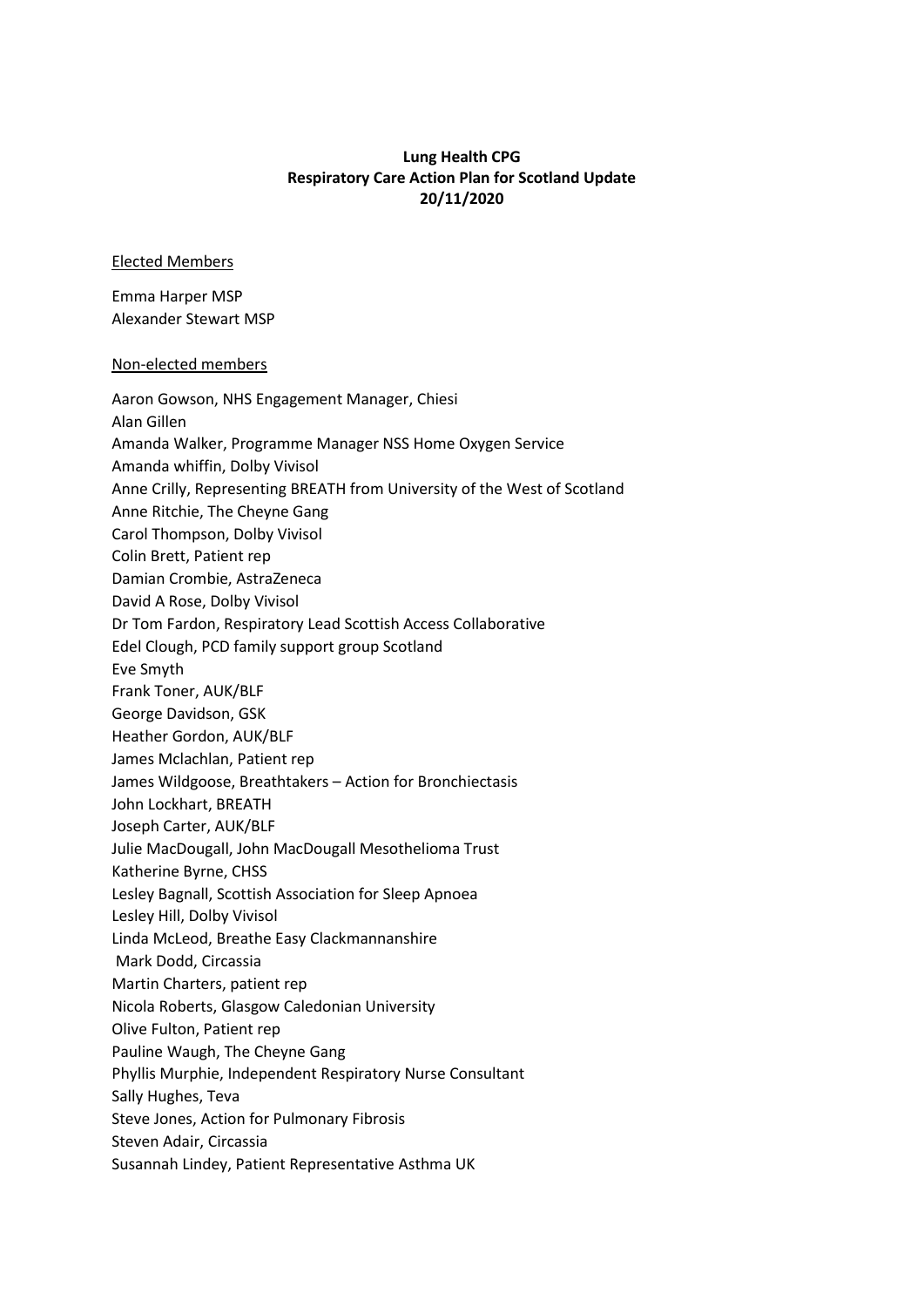## **Lung Health CPG Respiratory Care Action Plan for Scotland Update 20/11/2020**

## Elected Members

Emma Harper MSP Alexander Stewart MSP

## Non-elected members

| Aaron Gowson, NHS Engagement Manager, Chiesi                             |  |
|--------------------------------------------------------------------------|--|
| Alan Gillen                                                              |  |
| Amanda Walker, Programme Manager NSS Home Oxygen Service                 |  |
| Amanda whiffin, Dolby Vivisol                                            |  |
| Anne Crilly, Representing BREATH from University of the West of Scotland |  |
| Anne Ritchie, The Cheyne Gang                                            |  |
| Carol Thompson, Dolby Vivisol                                            |  |
| Colin Brett, Patient rep                                                 |  |
| Damian Crombie, AstraZeneca                                              |  |
| David A Rose, Dolby Vivisol                                              |  |
| Dr Tom Fardon, Respiratory Lead Scottish Access Collaborative            |  |
| Edel Clough, PCD family support group Scotland                           |  |
| Eve Smyth                                                                |  |
| Frank Toner, AUK/BLF                                                     |  |
| George Davidson, GSK                                                     |  |
| Heather Gordon, AUK/BLF                                                  |  |
| James Mclachlan, Patient rep                                             |  |
| James Wildgoose, Breathtakers - Action for Bronchiectasis                |  |
| John Lockhart, BREATH                                                    |  |
| Joseph Carter, AUK/BLF                                                   |  |
| Julie MacDougall, John MacDougall Mesothelioma Trust                     |  |
| Katherine Byrne, CHSS                                                    |  |
| Lesley Bagnall, Scottish Association for Sleep Apnoea                    |  |
| Lesley Hill, Dolby Vivisol                                               |  |
| Linda McLeod, Breathe Easy Clackmannanshire                              |  |
| Mark Dodd, Circassia                                                     |  |
| Martin Charters, patient rep                                             |  |
| Nicola Roberts, Glasgow Caledonian University                            |  |
| Olive Fulton, Patient rep                                                |  |
| Pauline Waugh, The Cheyne Gang                                           |  |
| Phyllis Murphie, Independent Respiratory Nurse Consultant                |  |
| Sally Hughes, Teva                                                       |  |
| Steve Jones, Action for Pulmonary Fibrosis                               |  |
| Steven Adair, Circassia                                                  |  |
| Susannah Lindey, Patient Representative Asthma UK                        |  |
|                                                                          |  |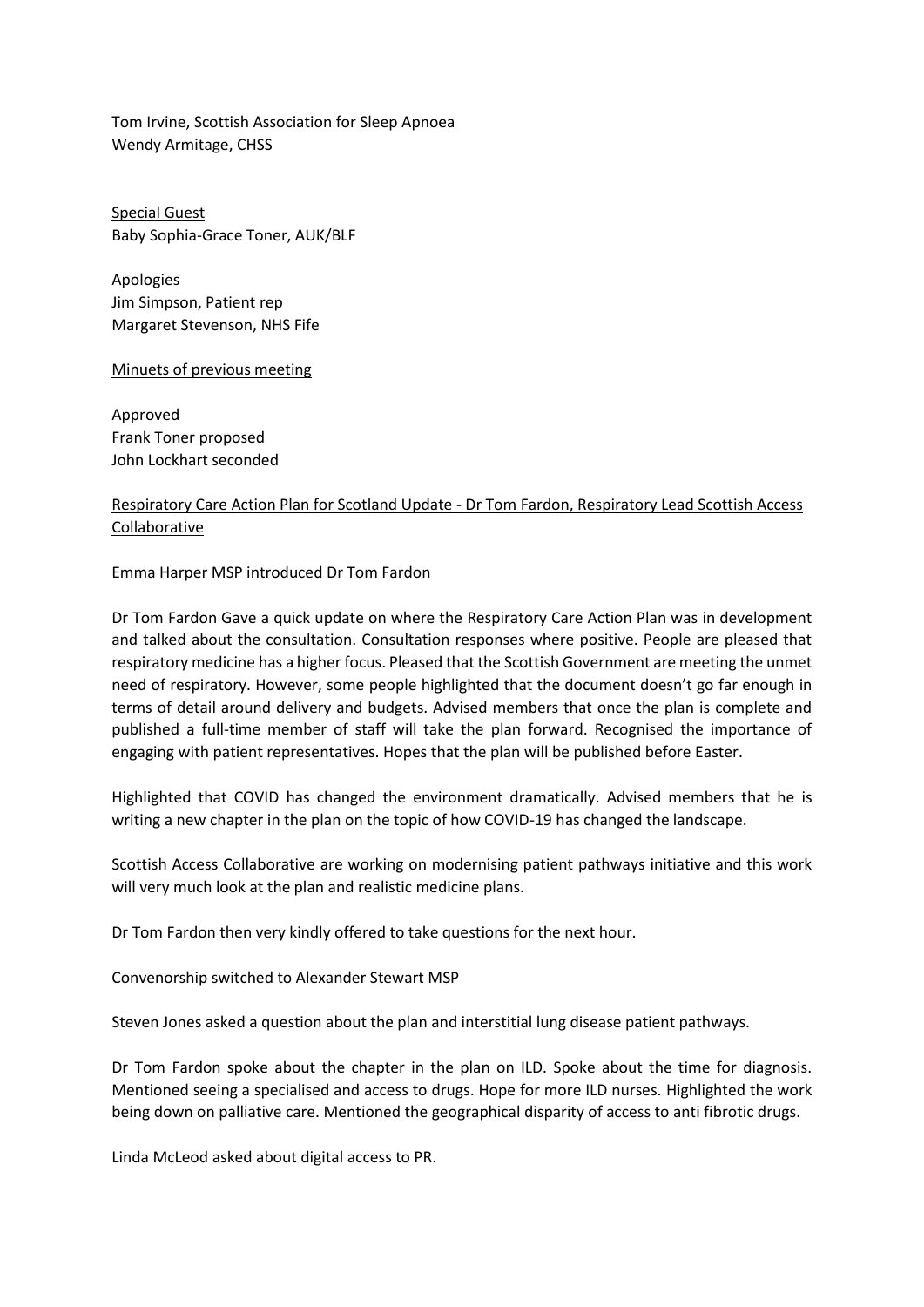Tom Irvine, Scottish Association for Sleep Apnoea Wendy Armitage, CHSS

Special Guest Baby Sophia-Grace Toner, AUK/BLF

Apologies Jim Simpson, Patient rep Margaret Stevenson, NHS Fife

Minuets of previous meeting

Approved Frank Toner proposed John Lockhart seconded

## Respiratory Care Action Plan for Scotland Update - Dr Tom Fardon, Respiratory Lead Scottish Access Collaborative

Emma Harper MSP introduced Dr Tom Fardon

Dr Tom Fardon Gave a quick update on where the Respiratory Care Action Plan was in development and talked about the consultation. Consultation responses where positive. People are pleased that respiratory medicine has a higher focus. Pleased that the Scottish Government are meeting the unmet need of respiratory. However, some people highlighted that the document doesn't go far enough in terms of detail around delivery and budgets. Advised members that once the plan is complete and published a full-time member of staff will take the plan forward. Recognised the importance of engaging with patient representatives. Hopes that the plan will be published before Easter.

Highlighted that COVID has changed the environment dramatically. Advised members that he is writing a new chapter in the plan on the topic of how COVID-19 has changed the landscape.

Scottish Access Collaborative are working on modernising patient pathways initiative and this work will very much look at the plan and realistic medicine plans.

Dr Tom Fardon then very kindly offered to take questions for the next hour.

Convenorship switched to Alexander Stewart MSP

Steven Jones asked a question about the plan and interstitial lung disease patient pathways.

Dr Tom Fardon spoke about the chapter in the plan on ILD. Spoke about the time for diagnosis. Mentioned seeing a specialised and access to drugs. Hope for more ILD nurses. Highlighted the work being down on palliative care. Mentioned the geographical disparity of access to anti fibrotic drugs.

Linda McLeod asked about digital access to PR.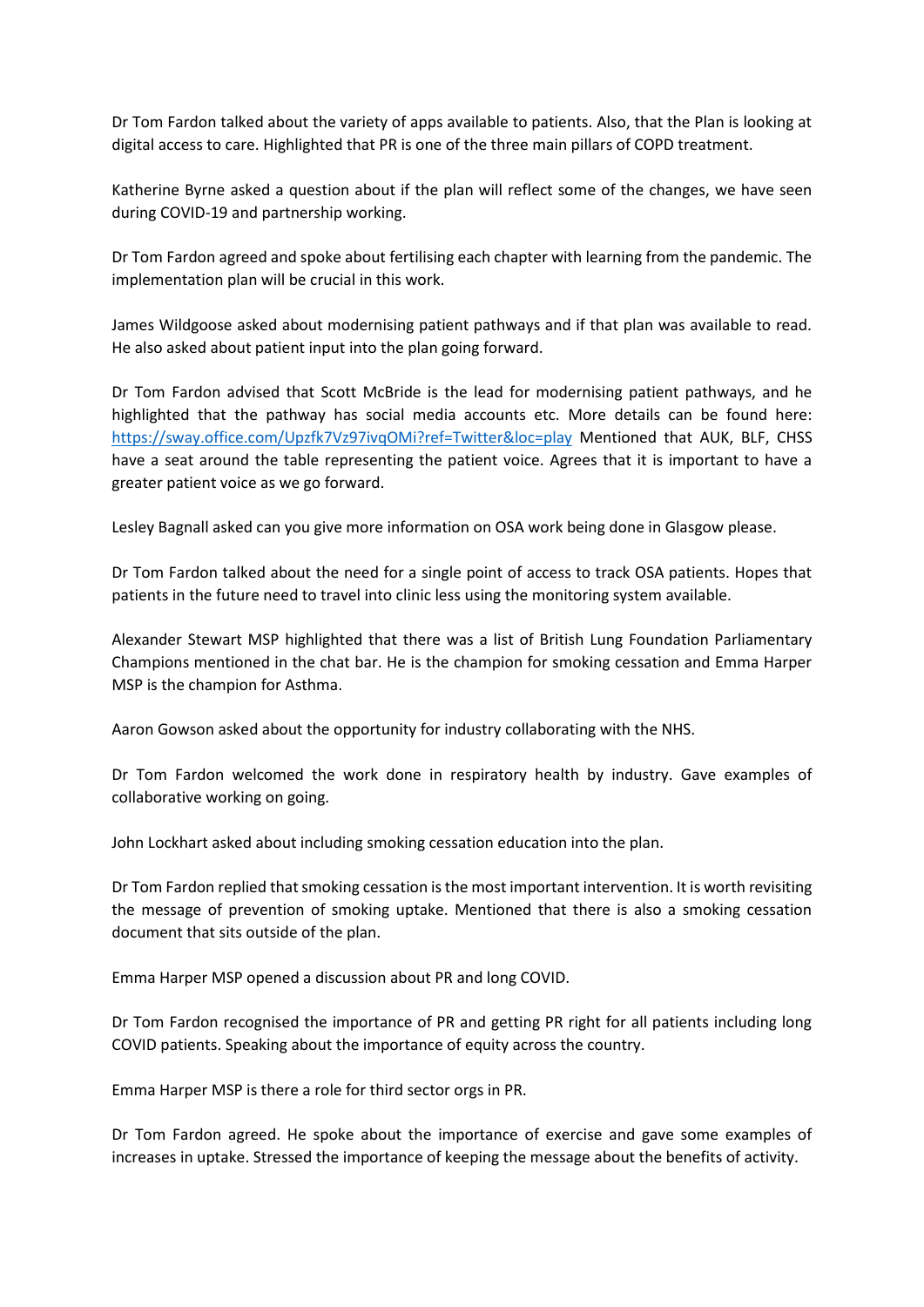Dr Tom Fardon talked about the variety of apps available to patients. Also, that the Plan is looking at digital access to care. Highlighted that PR is one of the three main pillars of COPD treatment.

Katherine Byrne asked a question about if the plan will reflect some of the changes, we have seen during COVID-19 and partnership working.

Dr Tom Fardon agreed and spoke about fertilising each chapter with learning from the pandemic. The implementation plan will be crucial in this work.

James Wildgoose asked about modernising patient pathways and if that plan was available to read. He also asked about patient input into the plan going forward.

Dr Tom Fardon advised that Scott McBride is the lead for modernising patient pathways, and he highlighted that the pathway has social media accounts etc. More details can be found here: <https://sway.office.com/Upzfk7Vz97ivqOMi?ref=Twitter&loc=play> Mentioned that AUK, BLF, CHSS have a seat around the table representing the patient voice. Agrees that it is important to have a greater patient voice as we go forward.

Lesley Bagnall asked can you give more information on OSA work being done in Glasgow please.

Dr Tom Fardon talked about the need for a single point of access to track OSA patients. Hopes that patients in the future need to travel into clinic less using the monitoring system available.

Alexander Stewart MSP highlighted that there was a list of British Lung Foundation Parliamentary Champions mentioned in the chat bar. He is the champion for smoking cessation and Emma Harper MSP is the champion for Asthma.

Aaron Gowson asked about the opportunity for industry collaborating with the NHS.

Dr Tom Fardon welcomed the work done in respiratory health by industry. Gave examples of collaborative working on going.

John Lockhart asked about including smoking cessation education into the plan.

Dr Tom Fardon replied that smoking cessation is the most important intervention. It is worth revisiting the message of prevention of smoking uptake. Mentioned that there is also a smoking cessation document that sits outside of the plan.

Emma Harper MSP opened a discussion about PR and long COVID.

Dr Tom Fardon recognised the importance of PR and getting PR right for all patients including long COVID patients. Speaking about the importance of equity across the country.

Emma Harper MSP is there a role for third sector orgs in PR.

Dr Tom Fardon agreed. He spoke about the importance of exercise and gave some examples of increases in uptake. Stressed the importance of keeping the message about the benefits of activity.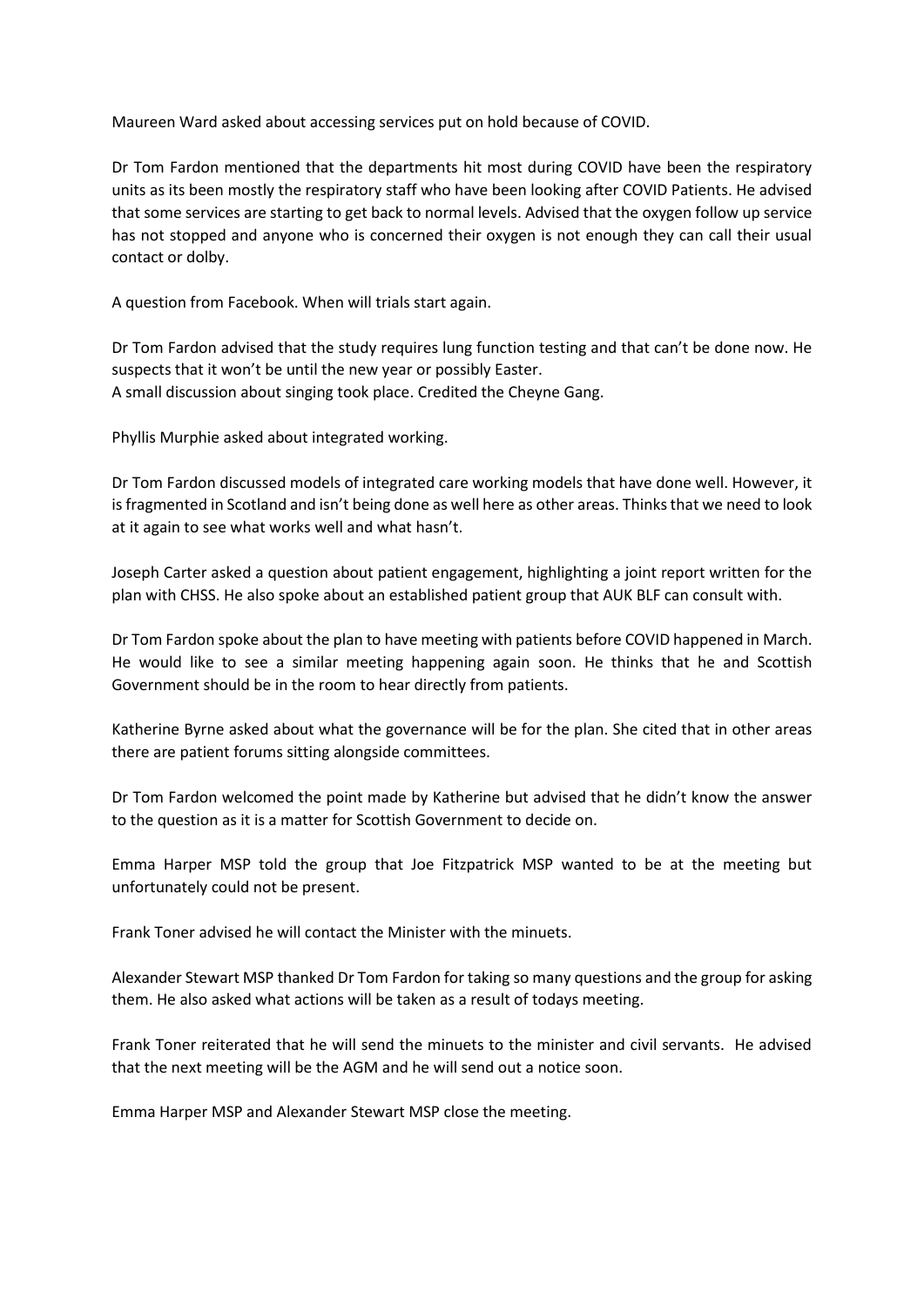Maureen Ward asked about accessing services put on hold because of COVID.

Dr Tom Fardon mentioned that the departments hit most during COVID have been the respiratory units as its been mostly the respiratory staff who have been looking after COVID Patients. He advised that some services are starting to get back to normal levels. Advised that the oxygen follow up service has not stopped and anyone who is concerned their oxygen is not enough they can call their usual contact or dolby.

A question from Facebook. When will trials start again.

Dr Tom Fardon advised that the study requires lung function testing and that can't be done now. He suspects that it won't be until the new year or possibly Easter. A small discussion about singing took place. Credited the Cheyne Gang.

Phyllis Murphie asked about integrated working.

Dr Tom Fardon discussed models of integrated care working models that have done well. However, it is fragmented in Scotland and isn't being done as well here as other areas. Thinks that we need to look at it again to see what works well and what hasn't.

Joseph Carter asked a question about patient engagement, highlighting a joint report written for the plan with CHSS. He also spoke about an established patient group that AUK BLF can consult with.

Dr Tom Fardon spoke about the plan to have meeting with patients before COVID happened in March. He would like to see a similar meeting happening again soon. He thinks that he and Scottish Government should be in the room to hear directly from patients.

Katherine Byrne asked about what the governance will be for the plan. She cited that in other areas there are patient forums sitting alongside committees.

Dr Tom Fardon welcomed the point made by Katherine but advised that he didn't know the answer to the question as it is a matter for Scottish Government to decide on.

Emma Harper MSP told the group that Joe Fitzpatrick MSP wanted to be at the meeting but unfortunately could not be present.

Frank Toner advised he will contact the Minister with the minuets.

Alexander Stewart MSP thanked Dr Tom Fardon for taking so many questions and the group for asking them. He also asked what actions will be taken as a result of todays meeting.

Frank Toner reiterated that he will send the minuets to the minister and civil servants. He advised that the next meeting will be the AGM and he will send out a notice soon.

Emma Harper MSP and Alexander Stewart MSP close the meeting.